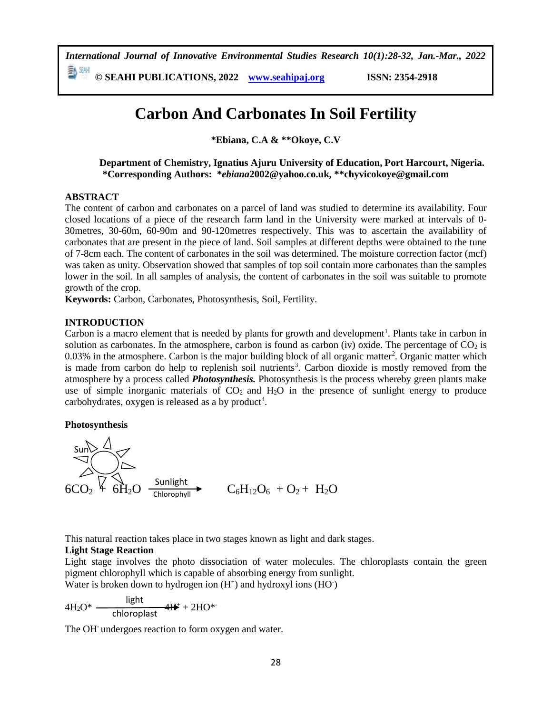*International Journal of Innovative Environmental Studies Research 10(1):28-32, Jan.-Mar., 2022*

**© SEAHI PUBLICATIONS, 2022 [www.seahipaj.org](http://www.seahipaj.org/) ISSN: 2354-2918**

# **Carbon And Carbonates In Soil Fertility**

**\*Ebiana, C.A & \*\*Okoye, C.V**

**Department of Chemistry, Ignatius Ajuru University of Education, Port Harcourt, Nigeria. \*Corresponding Authors: \****ebiana***[2002@yahoo.co.uk,](mailto:2002@yahoo.co.uk) \*\*chyvicokoye@gmail.com**

#### **ABSTRACT**

The content of carbon and carbonates on a parcel of land was studied to determine its availability. Four closed locations of a piece of the research farm land in the University were marked at intervals of 0- 30metres, 30-60m, 60-90m and 90-120metres respectively. This was to ascertain the availability of carbonates that are present in the piece of land. Soil samples at different depths were obtained to the tune of 7-8cm each. The content of carbonates in the soil was determined. The moisture correction factor (mcf) was taken as unity. Observation showed that samples of top soil contain more carbonates than the samples lower in the soil. In all samples of analysis, the content of carbonates in the soil was suitable to promote growth of the crop.

**Keywords:** Carbon, Carbonates, Photosynthesis, Soil, Fertility.

# **INTRODUCTION**

Carbon is a macro element that is needed by plants for growth and development<sup>1</sup>. Plants take in carbon in solution as carbonates. In the atmosphere, carbon is found as carbon (iv) oxide. The percentage of  $CO<sub>2</sub>$  is 0.03% in the atmosphere. Carbon is the major building block of all organic matter<sup>2</sup>. Organic matter which is made from carbon do help to replenish soil nutrients<sup>3</sup>. Carbon dioxide is mostly removed from the atmosphere by a process called *Photosynthesis.* Photosynthesis is the process whereby green plants make use of simple inorganic materials of  $CO<sub>2</sub>$  and  $H<sub>2</sub>O$  in the presence of sunlight energy to produce carbohydrates, oxygen is released as a by product<sup>4</sup>.

# **Photosynthesis**



This natural reaction takes place in two stages known as light and dark stages.

# **Light Stage Reaction**

Light stage involves the photo dissociation of water molecules. The chloroplasts contain the green pigment chlorophyll which is capable of absorbing energy from sunlight.

Water is broken down to hydrogen ion  $(H<sup>+</sup>)$  and hydroxyl ions  $(HO<sup>+</sup>)$ 

$$
4H_2O^* \xrightarrow{\text{light}} 4H^* + 2HO^{*}
$$

The OH<sup>-</sup> undergoes reaction to form oxygen and water.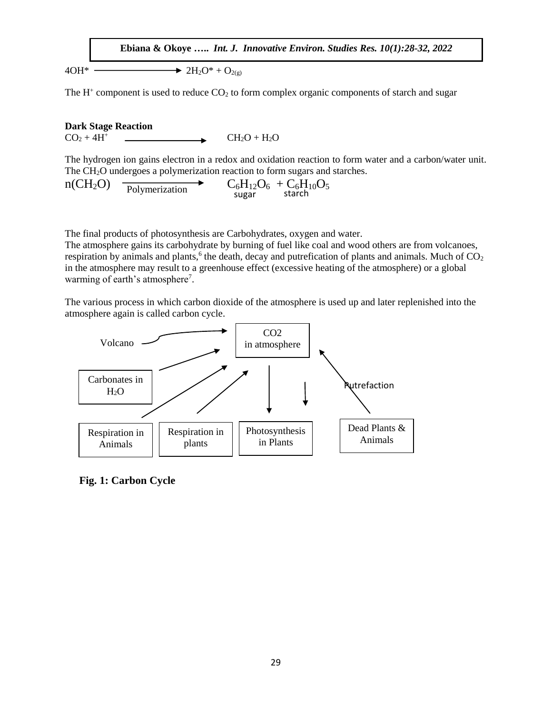**Ebiana & Okoye …..** *Int. J. Innovative Environ. Studies Res. 10(1):28-32, 2022*

 $4OH^*$   $\longrightarrow$   $2H_2O^* + O_{2(g)}$ 

The  $H^+$  component is used to reduce  $CO<sub>2</sub>$  to form complex organic components of starch and sugar

**Dark Stage Reaction**  $CO_2 + 4H^+$  CH<sub>2</sub>O + H<sub>2</sub>O

The hydrogen ion gains electron in a redox and oxidation reaction to form water and a carbon/water unit. The CH<sub>2</sub>O undergoes a polymerization reaction to form sugars and starches.

 $n(CH_2O)$   $\longrightarrow$   $C_6H_{12}O_6 + C_6H_{10}O_5$ <br>sugar starch

The final products of photosynthesis are Carbohydrates, oxygen and water.

The atmosphere gains its carbohydrate by burning of fuel like coal and wood others are from volcanoes, respiration by animals and plants,<sup>6</sup> the death, decay and putrefication of plants and animals. Much of  $CO<sub>2</sub>$ in the atmosphere may result to a greenhouse effect (excessive heating of the atmosphere) or a global warming of earth's atmosphere<sup>7</sup>.

The various process in which carbon dioxide of the atmosphere is used up and later replenished into the atmosphere again is called carbon cycle.



**Fig. 1: Carbon Cycle**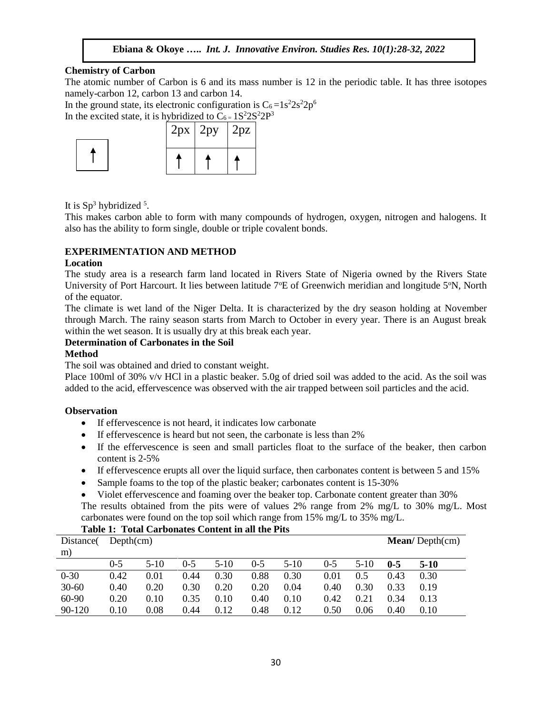# **Ebiana & Okoye …..** *Int. J. Innovative Environ. Studies Res. 10(1):28-32, 2022*

#### **Chemistry of Carbon**

The atomic number of Carbon is 6 and its mass number is 12 in the periodic table. It has three isotopes namely-carbon 12, carbon 13 and carbon 14.

In the ground state, its electronic configuration is  $C_6 = 1s^2 2s^2 2p^6$ 

In the excited state, it is hybridized to  $C_6 = 1S^2 2S^2 2P^3$ 



It is  $Sp^3$  hybridized  $5$ .

This makes carbon able to form with many compounds of hydrogen, oxygen, nitrogen and halogens. It also has the ability to form single, double or triple covalent bonds.

# **EXPERIMENTATION AND METHOD**

#### **Location**

The study area is a research farm land located in Rivers State of Nigeria owned by the Rivers State University of Port Harcourt. It lies between latitude  $7^{\circ}E$  of Greenwich meridian and longitude 5<sup>o</sup>N, North of the equator.

The climate is wet land of the Niger Delta. It is characterized by the dry season holding at November through March. The rainy season starts from March to October in every year. There is an August break within the wet season. It is usually dry at this break each year.

# **Determination of Carbonates in the Soil**

#### **Method**

The soil was obtained and dried to constant weight.

Place 100ml of 30% v/v HCl in a plastic beaker. 5.0g of dried soil was added to the acid. As the soil was added to the acid, effervescence was observed with the air trapped between soil particles and the acid.

# **Observation**

- If effervescence is not heard, it indicates low carbonate
- If effervescence is heard but not seen, the carbonate is less than 2%
- If the effervescence is seen and small particles float to the surface of the beaker, then carbon content is 2-5%
- If effervescence erupts all over the liquid surface, then carbonates content is between 5 and 15%
- Sample foams to the top of the plastic beaker; carbonates content is 15-30%

 Violet effervescence and foaming over the beaker top. Carbonate content greater than 30% The results obtained from the pits were of values 2% range from 2% mg/L to 30% mg/L. Most carbonates were found on the top soil which range from 15% mg/L to 35% mg/L.

# **Table 1: Total Carbonates Content in all the Pits**

| Distance( | Depth(cm) |        |         |        |         |        |         | Mean/Depth(cm) |         |        |
|-----------|-----------|--------|---------|--------|---------|--------|---------|----------------|---------|--------|
| m)        |           |        |         |        |         |        |         |                |         |        |
|           | $0 - 5$   | $5-10$ | $0 - 5$ | $5-10$ | $0 - 5$ | $5-10$ | $0 - 5$ | 5-10           | $0 - 5$ | $5-10$ |
| $0 - 30$  | 0.42      | 0.01   | 0.44    | 0.30   | 0.88    | 0.30   | 0.01    | 0.5            | 0.43    | 0.30   |
| $30 - 60$ | 0.40      | 0.20   | 0.30    | 0.20   | 0.20    | 0.04   | 0.40    | 0.30           | 0.33    | 0.19   |
| $60-90$   | 0.20      | 0.10   | 0.35    | 0.10   | 0.40    | 0.10   | 0.42    | 0.21           | 0.34    | 0.13   |
| 90-120    | 0.10      | 0.08   | 0.44    | 0.12   | 0.48    | 0.12   | 0.50    | 0.06           | 0.40    | 0.10   |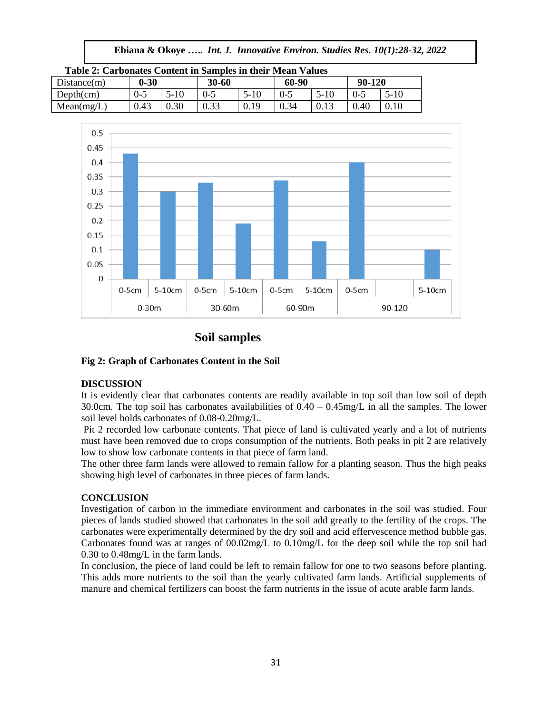| Ebiana & Okoye  Int. J. Innovative Environ. Studies Res. 10(1):28-32, 2022 |  |  |  |  |  |  |
|----------------------------------------------------------------------------|--|--|--|--|--|--|
|----------------------------------------------------------------------------|--|--|--|--|--|--|

| Table 2: Carbonates Content in Samples in their Mean Values |          |      |       |        |         |      |        |        |
|-------------------------------------------------------------|----------|------|-------|--------|---------|------|--------|--------|
| Distance(m)                                                 | $0 - 30$ |      | 30-60 |        | 60-90   |      | 90-120 |        |
| Depth(cm)                                                   | $0-5$    | 5-10 | 0-5   | $5-10$ | $0 - 5$ | 5-10 |        | $5-10$ |
| Mean(mg/L)                                                  | 0.43     | 0.30 | 0.33  | 0.19   | 0.34    |      | 0.40   | 0.10   |



# **Soil samples**

# **Fig 2: Graph of Carbonates Content in the Soil**

# **DISCUSSION**

It is evidently clear that carbonates contents are readily available in top soil than low soil of depth 30.0cm. The top soil has carbonates availabilities of  $0.40 - 0.45$  mg/L in all the samples. The lower soil level holds carbonates of 0.08-0.20mg/L.

Pit 2 recorded low carbonate contents. That piece of land is cultivated yearly and a lot of nutrients must have been removed due to crops consumption of the nutrients. Both peaks in pit 2 are relatively low to show low carbonate contents in that piece of farm land.

The other three farm lands were allowed to remain fallow for a planting season. Thus the high peaks showing high level of carbonates in three pieces of farm lands.

# **CONCLUSION**

Investigation of carbon in the immediate environment and carbonates in the soil was studied. Four pieces of lands studied showed that carbonates in the soil add greatly to the fertility of the crops. The carbonates were experimentally determined by the dry soil and acid effervescence method bubble gas. Carbonates found was at ranges of 00.02mg/L to 0.10mg/L for the deep soil while the top soil had 0.30 to 0.48mg/L in the farm lands.

In conclusion, the piece of land could be left to remain fallow for one to two seasons before planting. This adds more nutrients to the soil than the yearly cultivated farm lands. Artificial supplements of manure and chemical fertilizers can boost the farm nutrients in the issue of acute arable farm lands.